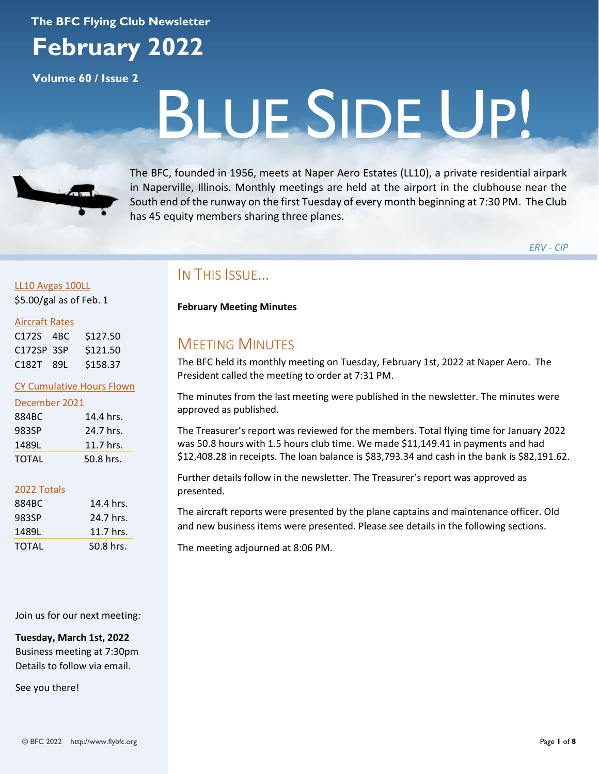### **The BFC Flying Club Newsletter**

# **February 2022**

**Volume 60 / Issue 2**

The BFC, founded in 1956, meets at Naper Aero Estates (LL10), a private residential airpark in Naperville, Illinois. Monthly meetings are held at the airport in the clubhouse near the South end of the runway on the first Tuesday of every month beginning at 7:30 PM. The Club has 45 equity members sharing three planes.

BLUE SIDE UP!

*ERV - CIP*

### LL10 Avgas 100LL

\$5.00/gal as of Feb. 1

#### Aircraft Rates

| C172S 4BC  | \$127.50 |
|------------|----------|
| C172SP 3SP | \$121.50 |
| C182T 89L  | \$158.37 |

#### CY Cumulative Hours Flown

| December 2021 |  |  |
|---------------|--|--|
|---------------|--|--|

| 884BC | 14.4 hrs.   |
|-------|-------------|
| 983SP | 24.7 hrs.   |
| 1489L | $11.7$ hrs. |
| TOTAL | 50.8 hrs.   |

#### 2022 Totals

| 884BC | 14.4 hrs.   |
|-------|-------------|
| 983SP | 24.7 hrs.   |
| 14891 | $11.7$ hrs. |
| TOTAL | 50.8 hrs.   |

#### Join us for our next meeting:

**Tuesday, March 1st, 2022** Business meeting at 7:30pm Details to follow via email.

See you there!

### IN THIS ISSUE…

#### **February Meeting Minutes**

### MEETING MINUTES

The BFC held its monthly meeting on Tuesday, February 1st, 2022 at Naper Aero. The President called the meeting to order at 7:31 PM.

The minutes from the last meeting were published in the newsletter. The minutes were approved as published.

The Treasurer's report was reviewed for the members. Total flying time for January 2022 was 50.8 hours with 1.5 hours club time. We made \$11,149.41 in payments and had \$12,408.28 in receipts. The loan balance is \$83,793.34 and cash in the bank is \$82,191.62.

Further details follow in the newsletter. The Treasurer's report was approved as presented.

The aircraft reports were presented by the plane captains and maintenance officer. Old and new business items were presented. Please see details in the following sections.

The meeting adjourned at 8:06 PM.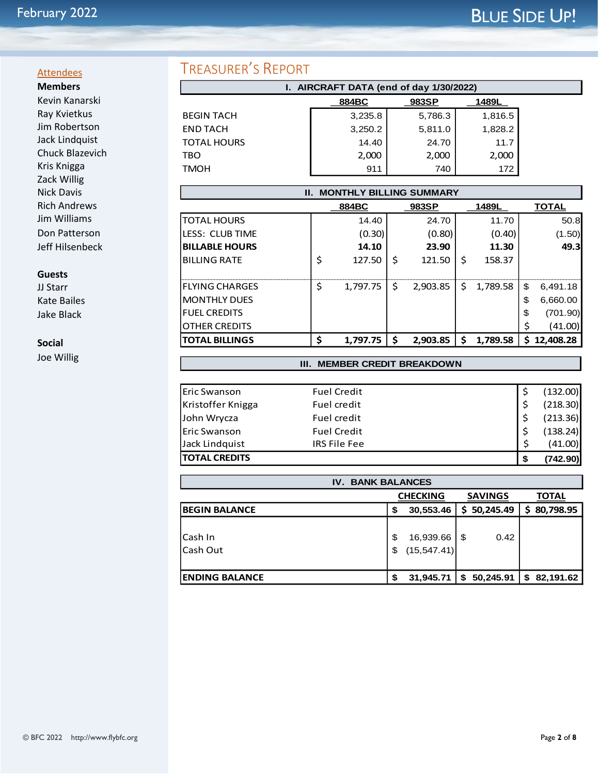#### **Attendees Members**

Kevin Kanarski Ray Kvietkus Jim Robertson Jack Lindquist Chuck Blazevich Kris Knigga Zack Willig Nick Davis Rich Andrews Jim Williams Don Patterson Jeff Hilsenbeck

#### **Guests**

JJ Starr Kate Bailes Jake Black

#### **Social**

Joe Willig

### TREASURER'S REPORT

| I. AIRCRAFT DATA (end of day 1/30/2022) |         |         |         |  |  |  |
|-----------------------------------------|---------|---------|---------|--|--|--|
| 884BC<br>983SP<br>1489L                 |         |         |         |  |  |  |
| BEGIN TACH                              | 3,235.8 | 5,786.3 | 1,816.5 |  |  |  |
| END TACH                                | 3,250.2 | 5,811.0 | 1,828.2 |  |  |  |
| TOTAL HOURS                             | 14.40   | 24.70   | 11.7    |  |  |  |
| тво                                     | 2,000   | 2,000   | 2,000   |  |  |  |
| TMOH                                    | 911     | 740     | 172     |  |  |  |

| <b>MONTHLY BILLING SUMMARY</b><br>н. |    |          |    |          |    |          |    |              |
|--------------------------------------|----|----------|----|----------|----|----------|----|--------------|
|                                      |    | 884BC    |    | 983SP    |    | 1489L    |    | <b>TOTAL</b> |
| <b>TOTAL HOURS</b>                   |    | 14.40    |    | 24.70    |    | 11.70    |    | 50.8         |
| LESS: CLUB TIME                      |    | (0.30)   |    | (0.80)   |    | (0.40)   |    | (1.50)       |
| <b>BILLABLE HOURS</b>                |    | 14.10    |    | 23.90    |    | 11.30    |    | 49.3         |
| <b>BILLING RATE</b>                  | \$ | 127.50   | \$ | 121.50   | \$ | 158.37   |    |              |
|                                      |    |          |    |          |    |          |    |              |
| <b>FLYING CHARGES</b>                | \$ | 1.797.75 | \$ | 2.903.85 | \$ | 1,789.58 | \$ | 6,491.18     |
| <b>MONTHLY DUES</b>                  |    |          |    |          |    |          | \$ | 6,660.00     |
| <b>FUEL CREDITS</b>                  |    |          |    |          |    |          | \$ | (701.90)     |
| <b>OTHER CREDITS</b>                 |    |          |    |          |    |          | \$ | (41.00)      |
| <b>TOTAL BILLINGS</b>                | \$ | 1,797.75 | \$ | 2,903.85 | S  | 1,789.58 | \$ | 12,408.28    |

#### **III. MEMBER CREDIT BREAKDOWN**

| Eric Swanson         | <b>Fuel Credit</b>  | (132.00)       |
|----------------------|---------------------|----------------|
| Kristoffer Knigga    | Fuel credit         | (218.30)       |
| John Wrycza          | Fuel credit         | (213.36)       |
| <b>Eric Swanson</b>  | <b>Fuel Credit</b>  | (138.24)       |
| Jack Lindquist       | <b>IRS File Fee</b> | (41.00)        |
| <b>TOTAL CREDITS</b> |                     | (742.90)<br>\$ |

| <b>BANK BALANCES</b><br>$IV_{-}$                  |          |                           |                 |                |  |  |  |
|---------------------------------------------------|----------|---------------------------|-----------------|----------------|--|--|--|
| <b>CHECKING</b><br><b>SAVINGS</b><br><b>TOTAL</b> |          |                           |                 |                |  |  |  |
| <b>BEGIN BALANCE</b>                              | S        | 30,553.46                 | 50,245.49<br>S. | 80,798.95<br>S |  |  |  |
| lCash In<br>Cash Out                              | \$<br>\$ | 16,939.66<br>(15, 547.41) | 0.42<br>∣\$     |                |  |  |  |
| <b>ENDING BALANCE</b>                             | \$       | 31,945.71                 | 50,245.91<br>S  | 82,191.62<br>S |  |  |  |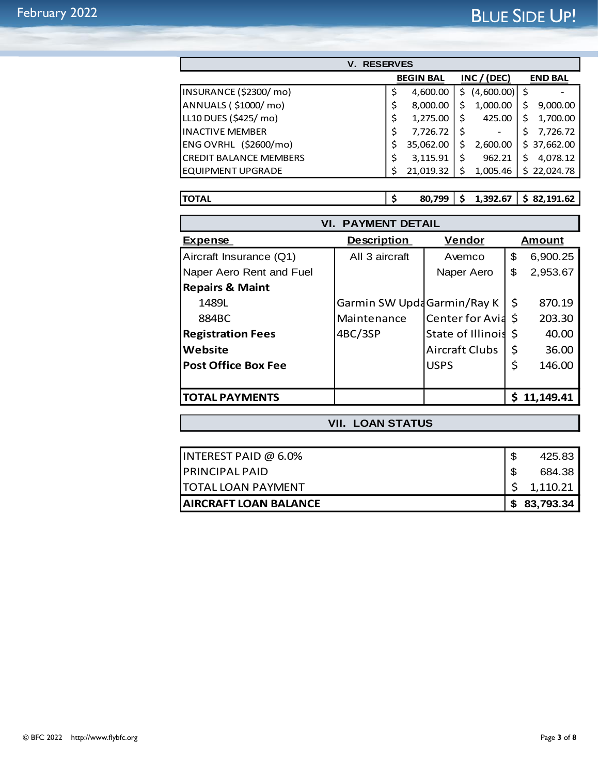| <b>RESERVES</b><br>V.  |    |                  |    |                 |   |                |
|------------------------|----|------------------|----|-----------------|---|----------------|
|                        |    | <b>BEGIN BAL</b> |    | INC / (DEC)     |   | <b>END BAL</b> |
| INSURANCE (\$2300/mo)  | \$ | 4,600.00         | \$ | $(4,600.00)$ \$ |   |                |
| ANNUALS (\$1000/mo)    | \$ | 8,000.00         |    | 1,000.00        | S | 9,000.00       |
| LL10 DUES (\$425/ mo)  | \$ | 1,275.00         |    | 425.00          |   | 1,700.00       |
| IINACTIVE MEMBER       | \$ | 7,726.72         |    |                 | s | 7,726.72       |
| ENG OVRHL (\$2600/mo)  | \$ | 35,062.00        |    | 2,600.00        |   | \$37,662.00    |
| CREDIT BALANCE MEMBERS |    | 3,115.91         |    | 962.21          |   | 4,078.12       |
| EQUIPMENT UPGRADE      |    | 21,019.32        |    | 1,005.46        |   | 22,024.78      |

| ΤΟΤΑL | $80,799$   \$ |  | $1,392.67$   \$82,191.62 |
|-------|---------------|--|--------------------------|
|       |               |  |                          |

| <b>VI. PAYMENT DETAIL</b> |                       |                            |                                      |  |  |  |  |  |  |
|---------------------------|-----------------------|----------------------------|--------------------------------------|--|--|--|--|--|--|
| <b>Description</b>        | Vendor                |                            | <b>Amount</b>                        |  |  |  |  |  |  |
| All 3 aircraft            | Avemco                | \$                         | 6,900.25                             |  |  |  |  |  |  |
|                           | Naper Aero            | \$                         | 2,953.67                             |  |  |  |  |  |  |
|                           |                       |                            |                                      |  |  |  |  |  |  |
|                           |                       | \$                         | 870.19                               |  |  |  |  |  |  |
| Maintenance               |                       | \$                         | 203.30                               |  |  |  |  |  |  |
| 4BC/3SP                   |                       | \$                         | 40.00                                |  |  |  |  |  |  |
|                           | <b>Aircraft Clubs</b> | \$                         | 36.00                                |  |  |  |  |  |  |
|                           | <b>USPS</b>           | \$                         | 146.00                               |  |  |  |  |  |  |
|                           |                       |                            |                                      |  |  |  |  |  |  |
|                           |                       | S                          | 11,149.41                            |  |  |  |  |  |  |
|                           |                       | Garmin SW UpdaGarmin/Ray K | Center for Avia<br>State of Illinois |  |  |  |  |  |  |

#### **VII. LOAN STATUS**

| <b>AIRCRAFT LOAN BALANCE</b> | S | 83,793.34 |
|------------------------------|---|-----------|
| ITOTAL LOAN PAYMENT          |   | 1,110.21  |
| IPRINCIPAL PAID              |   | 684.38    |
| INTEREST PAID @ $6.0\%$      | S | 425.83    |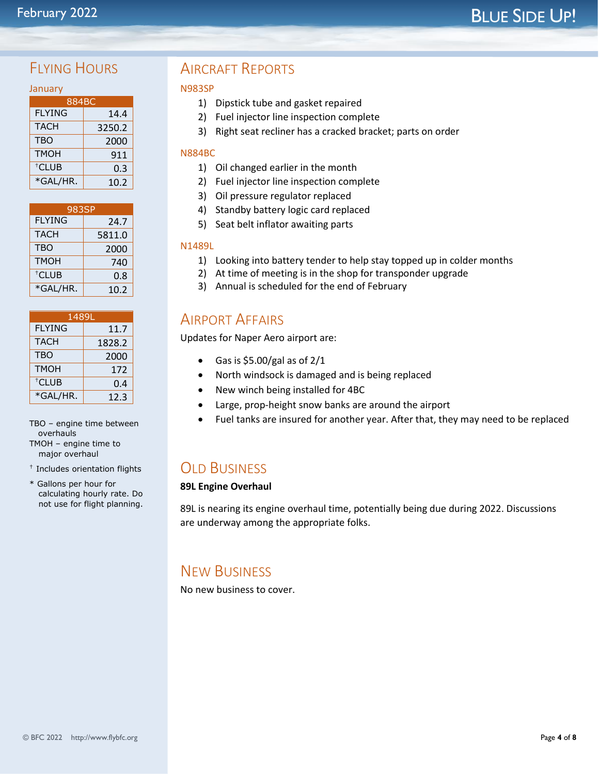### BLUE SIDE UP!

### FIYING HOURS

| anu | . . |  |
|-----|-----|--|

| 884BC             |        |  |  |  |
|-------------------|--------|--|--|--|
| <b>FLYING</b>     | 14.4   |  |  |  |
| <b>TACH</b>       | 3250.2 |  |  |  |
| <b>TBO</b>        | 2000   |  |  |  |
| <b>TMOH</b>       | 911    |  |  |  |
| <sup>†</sup> CLUB | 0.3    |  |  |  |
| *GAL/HR.          | 10.2   |  |  |  |

| 983SP             |        |  |  |
|-------------------|--------|--|--|
| <b>FLYING</b>     | 24.7   |  |  |
| <b>TACH</b>       | 5811.0 |  |  |
| <b>TBO</b>        | 2000   |  |  |
| <b>TMOH</b>       | 740    |  |  |
| <sup>†</sup> CLUB | 0.8    |  |  |
| *GAL/HR.          | 10.2   |  |  |

| 1489L             |        |  |  |
|-------------------|--------|--|--|
| <b>FLYING</b>     | 11.7   |  |  |
| <b>TACH</b>       | 1828.2 |  |  |
| <b>TBO</b>        | 2000   |  |  |
| <b>TMOH</b>       | 172    |  |  |
| <sup>†</sup> CLUB | 0.4    |  |  |
| *GAL/HR.          | 12.3   |  |  |

TBO – engine time between overhauls TMOH – engine time to major overhaul

- † Includes orientation flights
- \* Gallons per hour for calculating hourly rate. Do not use for flight planning.

### AIRCRAFT REPORTS

#### N983SP

- 1) Dipstick tube and gasket repaired
- 2) Fuel injector line inspection complete
- 3) Right seat recliner has a cracked bracket; parts on order

#### N884BC

- 1) Oil changed earlier in the month
- 2) Fuel injector line inspection complete
- 3) Oil pressure regulator replaced
- 4) Standby battery logic card replaced
- 5) Seat belt inflator awaiting parts

#### N1489L

- 1) Looking into battery tender to help stay topped up in colder months
- 2) At time of meeting is in the shop for transponder upgrade
- 3) Annual is scheduled for the end of February

### AIRPORT AFFAIRS

Updates for Naper Aero airport are:

- Gas is  $$5.00/gal$  as of  $2/1$
- North windsock is damaged and is being replaced
- New winch being installed for 4BC
- Large, prop-height snow banks are around the airport
- Fuel tanks are insured for another year. After that, they may need to be replaced

### **OLD BUSINESS**

#### **89L Engine Overhaul**

89L is nearing its engine overhaul time, potentially being due during 2022. Discussions are underway among the appropriate folks.

### NEW BUSINESS

No new business to cover.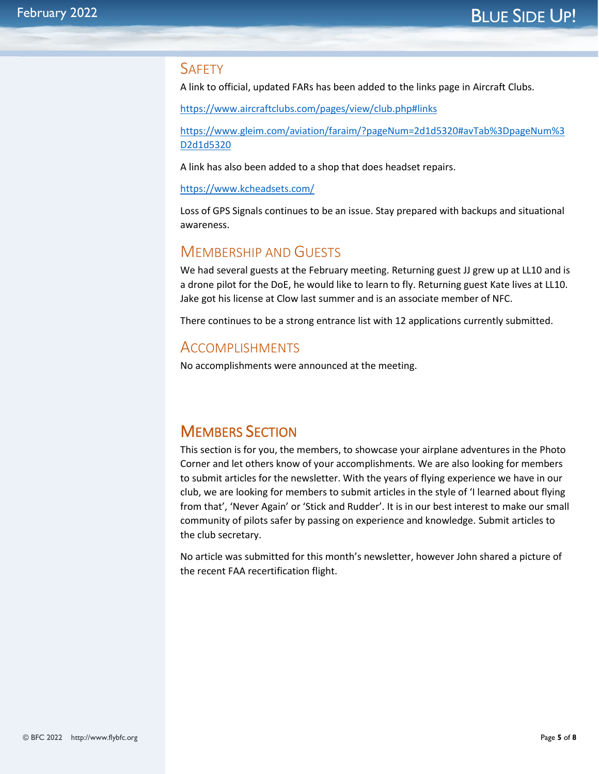#### **SAFFTY**

A link to official, updated FARs has been added to the links page in Aircraft Clubs.

<https://www.aircraftclubs.com/pages/view/club.php#links>

[https://www.gleim.com/aviation/faraim/?pageNum=2d1d5320#avTab%3DpageNum%3](https://www.gleim.com/aviation/faraim/?pageNum=2d1d5320#avTab%3DpageNum%3D2d1d5320) [D2d1d5320](https://www.gleim.com/aviation/faraim/?pageNum=2d1d5320#avTab%3DpageNum%3D2d1d5320)

A link has also been added to a shop that does headset repairs.

#### <https://www.kcheadsets.com/>

Loss of GPS Signals continues to be an issue. Stay prepared with backups and situational awareness.

### MEMBERSHIP AND GUESTS

We had several guests at the February meeting. Returning guest JJ grew up at LL10 and is a drone pilot for the DoE, he would like to learn to fly. Returning guest Kate lives at LL10. Jake got his license at Clow last summer and is an associate member of NFC.

There continues to be a strong entrance list with 12 applications currently submitted.

#### ACCOMPLISHMENTS

No accomplishments were announced at the meeting.

### MEMBERS SECTION

This section is for you, the members, to showcase your airplane adventures in the Photo Corner and let others know of your accomplishments. We are also looking for members to submit articles for the newsletter. With the years of flying experience we have in our club, we are looking for members to submit articles in the style of 'I learned about flying from that', 'Never Again' or 'Stick and Rudder'. It is in our best interest to make our small community of pilots safer by passing on experience and knowledge. Submit articles to the club secretary.

No article was submitted for this month's newsletter, however John shared a picture of the recent FAA recertification flight.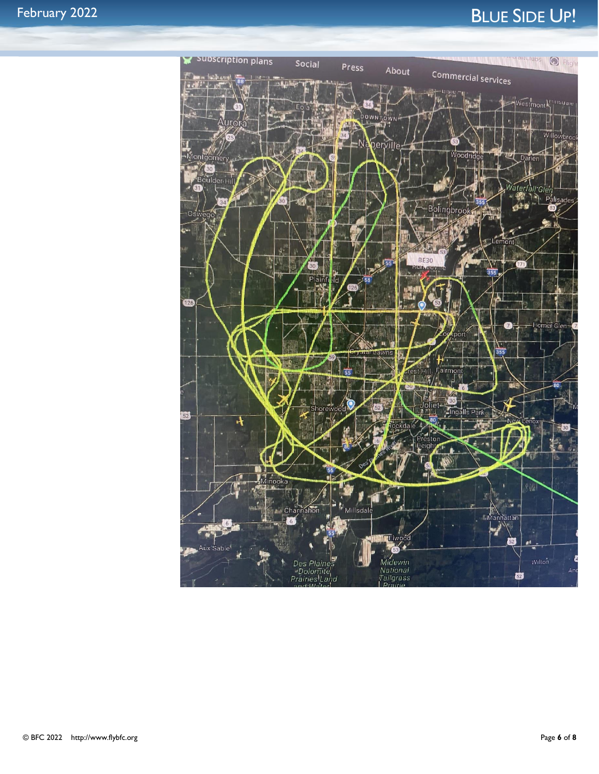## BLUE SIDE UP!

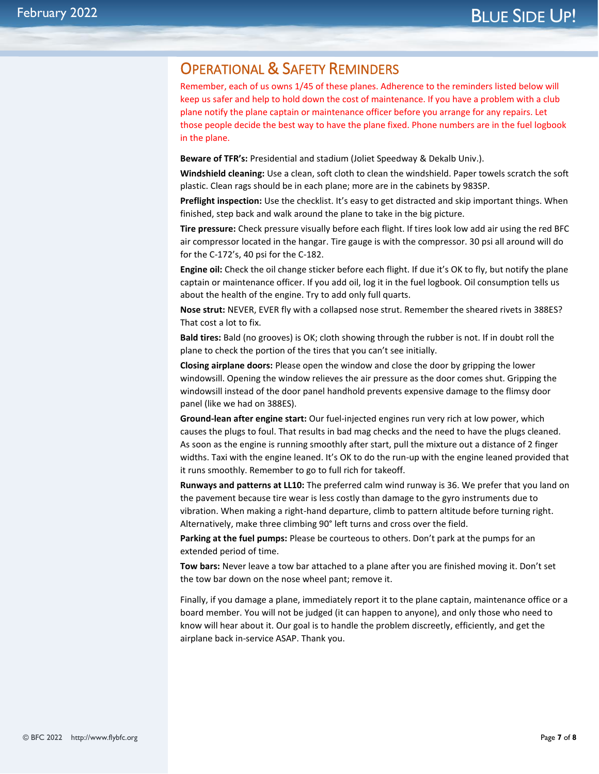### OPERATIONAL & SAFETY REMINDERS

Remember, each of us owns 1/45 of these planes. Adherence to the reminders listed below will keep us safer and help to hold down the cost of maintenance. If you have a problem with a club plane notify the plane captain or maintenance officer before you arrange for any repairs. Let those people decide the best way to have the plane fixed. Phone numbers are in the fuel logbook in the plane.

**Beware of TFR's:** Presidential and stadium (Joliet Speedway & Dekalb Univ.).

**Windshield cleaning:** Use a clean, soft cloth to clean the windshield. Paper towels scratch the soft plastic. Clean rags should be in each plane; more are in the cabinets by 983SP.

**Preflight inspection:** Use the checklist. It's easy to get distracted and skip important things. When finished, step back and walk around the plane to take in the big picture.

**Tire pressure:** Check pressure visually before each flight. If tires look low add air using the red BFC air compressor located in the hangar. Tire gauge is with the compressor. 30 psi all around will do for the C-172's, 40 psi for the C-182.

**Engine oil:** Check the oil change sticker before each flight. If due it's OK to fly, but notify the plane captain or maintenance officer. If you add oil, log it in the fuel logbook. Oil consumption tells us about the health of the engine. Try to add only full quarts.

**Nose strut:** NEVER, EVER fly with a collapsed nose strut. Remember the sheared rivets in 388ES? That cost a lot to fix.

**Bald tires:** Bald (no grooves) is OK; cloth showing through the rubber is not. If in doubt roll the plane to check the portion of the tires that you can't see initially.

**Closing airplane doors:** Please open the window and close the door by gripping the lower windowsill. Opening the window relieves the air pressure as the door comes shut. Gripping the windowsill instead of the door panel handhold prevents expensive damage to the flimsy door panel (like we had on 388ES).

**Ground-lean after engine start:** Our fuel-injected engines run very rich at low power, which causes the plugs to foul. That results in bad mag checks and the need to have the plugs cleaned. As soon as the engine is running smoothly after start, pull the mixture out a distance of 2 finger widths. Taxi with the engine leaned. It's OK to do the run-up with the engine leaned provided that it runs smoothly. Remember to go to full rich for takeoff.

**Runways and patterns at LL10:** The preferred calm wind runway is 36. We prefer that you land on the pavement because tire wear is less costly than damage to the gyro instruments due to vibration. When making a right-hand departure, climb to pattern altitude before turning right. Alternatively, make three climbing 90° left turns and cross over the field.

**Parking at the fuel pumps:** Please be courteous to others. Don't park at the pumps for an extended period of time.

**Tow bars:** Never leave a tow bar attached to a plane after you are finished moving it. Don't set the tow bar down on the nose wheel pant; remove it.

Finally, if you damage a plane, immediately report it to the plane captain, maintenance office or a board member. You will not be judged (it can happen to anyone), and only those who need to know will hear about it. Our goal is to handle the problem discreetly, efficiently, and get the airplane back in-service ASAP. Thank you.